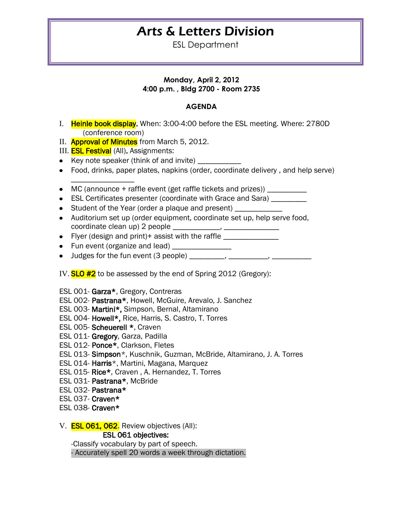## Arts & Letters Division

ESL Department

## **Monday, April 2, 2012 4:00 p.m. , Bldg 2700 - Room 2735**

## **AGENDA**

- I. Heinle book display. When: 3:00-4:00 before the ESL meeting. Where: 2780D (conference room)
- II. **Approval of Minutes** from March 5, 2012.
- III. **ESL Festival** (All). Assignments:

\_\_\_\_\_\_\_\_\_\_\_\_\_\_\_\_

- Key note speaker (think of and invite) \_\_\_\_\_\_\_\_\_
- Food, drinks, paper plates, napkins (order, coordinate delivery , and help serve)
- $\bullet$  MC (announce + raffle event (get raffle tickets and prizes))
- ESL Certificates presenter (coordinate with Grace and Sara) \_\_\_\_\_\_\_\_
- Student of the Year (order a plaque and present)
- Auditorium set up (order equipment, coordinate set up, help serve food, coordinate clean up) 2 people \_\_\_\_\_\_\_\_\_\_\_\_, \_\_\_\_\_\_\_\_\_\_\_\_\_\_
- Flyer (design and print)+ assist with the raffle
- Fun event (organize and lead)
- Judges for the fun event  $(3 \text{ people})$  \_\_\_\_\_\_\_\_, \_\_\_\_\_\_\_\_, \_\_\_\_\_\_\_\_\_,
- IV. **SLO #2** to be assessed by the end of Spring 2012 (Gregory):
- ESL 001- Garza\*, Gregory, Contreras
- ESL 002- Pastrana\*, Howell, McGuire, Arevalo, J. Sanchez
- ESL 003- Martini\*, Simpson, Bernal, Altamirano
- ESL 004- Howell\*, Rice, Harris, S. Castro, T. Torres
- ESL 005- Scheuerell \*, Craven
- ESL 011- Gregory, Garza, Padilla
- ESL 012- Ponce\*, Clarkson, Fletes
- ESL 013- Simpson\*, Kuschnik, Guzman, McBride, Altamirano, J. A. Torres
- ESL 014- Harris\*, Martini, Magana, Marquez
- ESL 015- Rice\*, Craven , A. Hernandez, T. Torres
- ESL 031- Pastrana\*, McBride
- ESL 032- Pastrana\*
- ESL 037- Craven\*
- ESL 038- Craven\*
- V. **ESL 061, 062.** Review objectives (All):

ESL 061 objectives:

-Classify vocabulary by part of speech.

- Accurately spell 20 words a week through dictation.